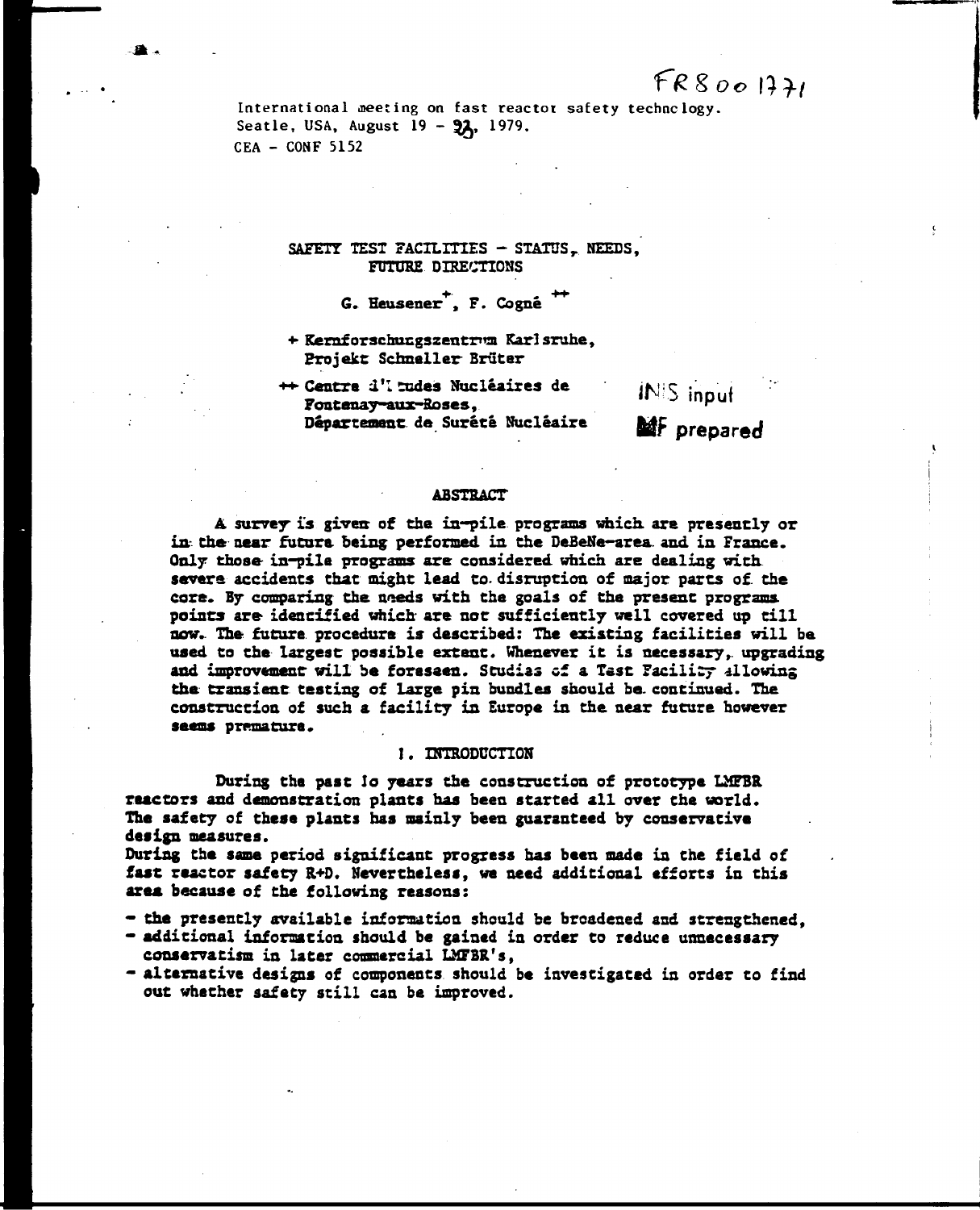**International meeting on fast reactor safety technology.**  Seatle, USA, August 19 - 97, 1979. **CEA - CONF 5152** 

### **SAFETY TEST FACILITIES** - STATUS, NEEDS, **FUTURE DIRECTIONS**

# **6. Heusener , F. Cogné**

- **+• Rernf orschucgsaentntsi Karl sruhe, Erojekc Schneller Bruter**
- **++• Centre d'I tudes Nucléaires de Fontenay-aux-Hoses,**  Département de Surété Nucléaire **MAF** prepared

**ÏN-i.5 input** 

#### **ABSTSACT**

**A. survey is gives of the in-pile programs which, are presently or in. the near future being performed in the DeBeNe-area. and in France. Only those in-pile programs are considered which are dealing with. severs accidents that might lead to. disruption of major parts of. the**  core. By comparing the needs with the goals of the present programs, **points are identified which are not sufficiently well covered up till now. The future procedure is described: The existing facilities will be used to the largest possible extent. Whenever it is necessary,, upgrading and improvement will be foreseen. Scudias of a Test Facility allowing the transient testing of large pis bundles should be. continued. The construction of such a facility in Europe in the near future however**  seems premature.

#### **1. INTRODUCTION**

**During the past lo years the construction of prototype LMFBR reactors and demonstration plants has been started all over the world. The safety of these plants has mainly been guaranteed by conservative design measures.** 

**During the same period significant progress has been made in the field of fast reactor safety R+D. Nevertheless, we need additional efforts in this area because of the following reasons:** 

- **the presently available information should be broadened and strengthened,**
- **additional information should be gained in order to reduce unnecessary conservatism in later commercial LMPBR's,**
- **alternative designs of components should be investigated in order to find out whether safety still can be improved.**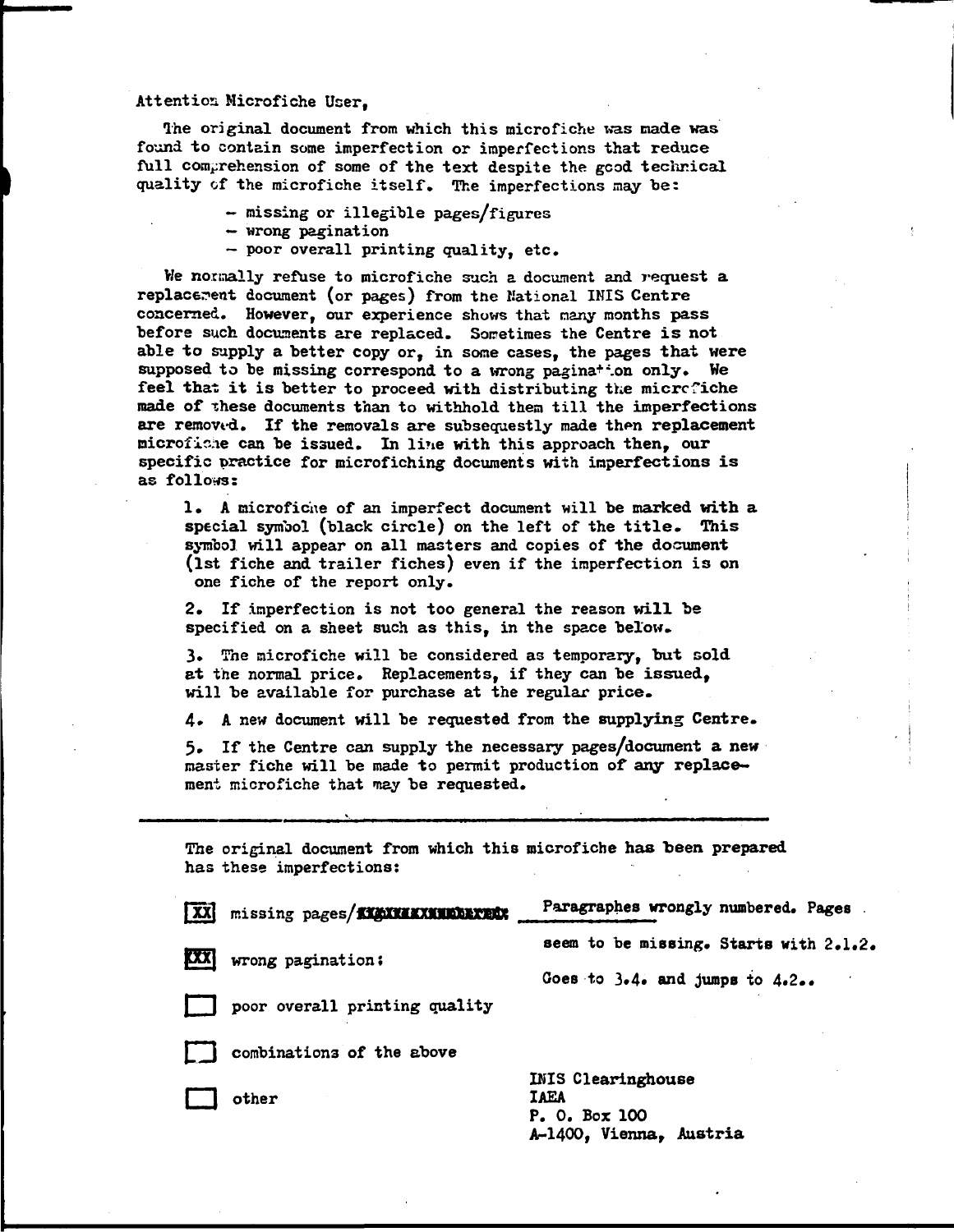#### **Attention Microfiche User,**

**The original document from which this microfiche was made was found to contain some imperfection or imperfections that reduce full comprehension of some of the text despite the gcod technical quality of the microfiche itself. The imperfections may bei** 

- **missing or illegible pages/figures**
- **wrong pagination**
- **poor overall printing quality, etc.**

**He normally refuse to microfiche such a document and request a**  replacement document (or pages) from the Mational INIS Centre **concerned. However, our experience shows that many months pass before such documents are replaced. Sometimes the Centre is not able to supply a better copy or, in some cases, the pages that were**  supposed to be missing correspond to a wrong pagina<sup>+</sup> on only. We **feel that it is better to proceed with distributing the microfiche made of xhese documents than to withhold them till the imperfections**  are removed. If the removals are subsequestly made then replacement **microfiche can be issued. In line with this approach then, our specific practice for microfiching documents with imperfections is as follows:** 

**1» A microfiche of an imperfect document will be marked with a special symbol (black circle) on the left of the title. This symbol will appear on all masters and copies of the document (1st fiche and trailer fiches) even if the imperfection is on one fiche of the report only.** 

**2. If imperfection is not too general the reason will be specified on a sheet such as this, in the space below.** 

**3.** The microfiche will be considered as temporary, but sold **at the normal price. Replacements, if they can be issued, will be available for purchase at the regular price.** 

**4» A new document will be requested from the supplying Centre.** 

**5» If the Centre can supply the necessary pages/document a new master fiche will be made to permit production of any replacement microfiche that may be requested.** 

**The original document from which this microfiche has been prepared has these imperfections:** 

| प्रिय      | missing pages/KKAXKAXKNEERXEER | Paragraphes wrongly numbered. Pages    |
|------------|--------------------------------|----------------------------------------|
| <b>EXX</b> | wrong pagination:              | seem to be missing. Starts with 2.1.2. |
|            | poor overall printing quality  | Goes to 3.4. and jumps to 4.2          |
|            | combinations of the above      |                                        |
|            | other                          | <b>INIS Clearinghouse</b><br>IAEA      |

**P. 0. Box 100 A-1400, Vienna, Austria**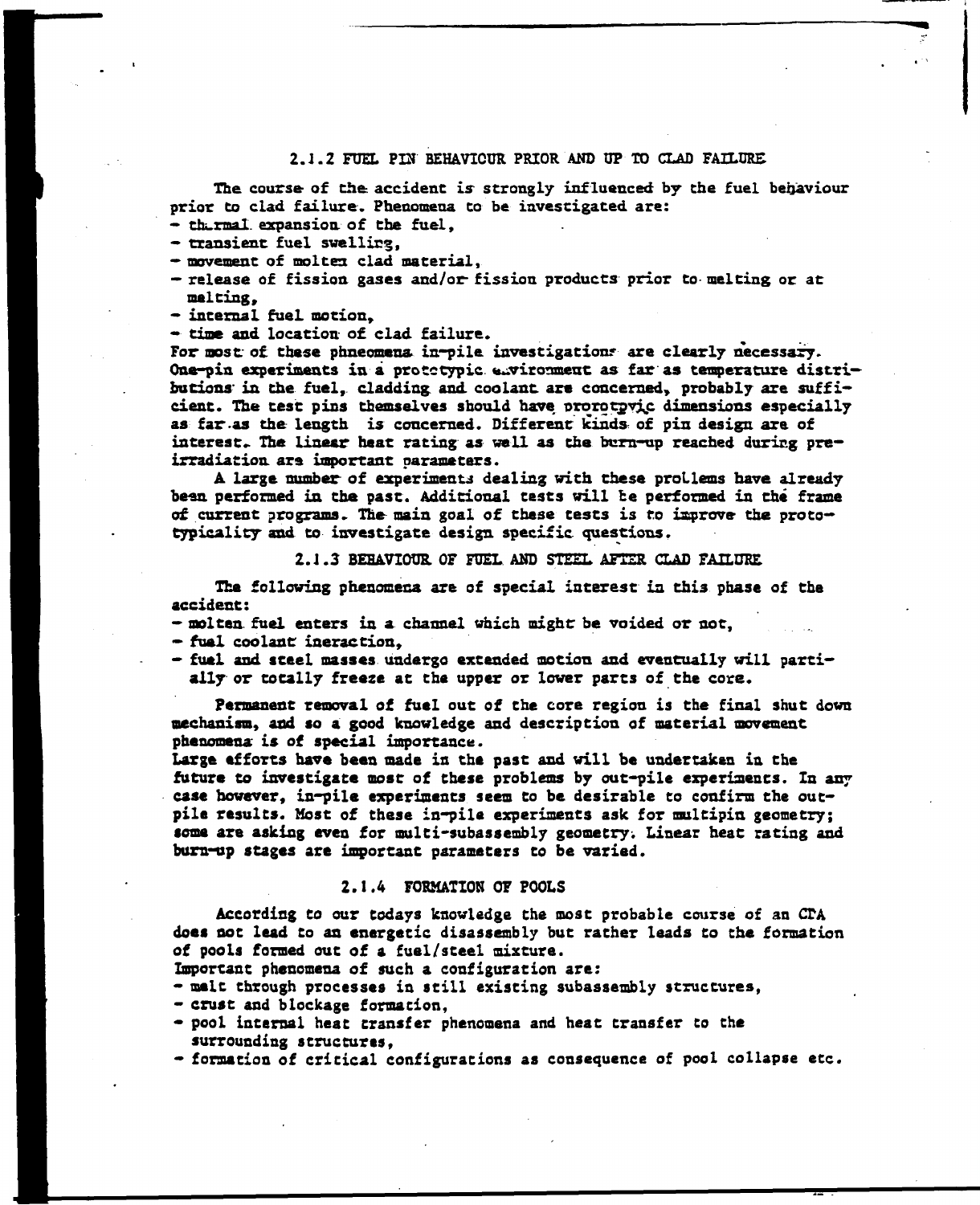## **2.J.2 FUEL PIN BEHAVIOUR PRIOR AND UP TO CLAD FAILURE**

**The course of the accident is- strongly influenced by the fuel behaviour prior Co clad failure. Phenomena to be investigated are:** 

**- thermal, expansion of the fuel,** 

- **transient fuel swelling,**
- **movement of molten clad material,**
- **release of fission gases and/or- fission products prior to- melting or at melting,**
- **internal fuel motion,**

**- time and location of clad failure.** 

**For most of these phneomena ia-pile investigation? are clearly necessary. One-pin experiments in a protctypic environment as far as temperature distri**butions in the fuel, cladding and coolant are concerned, probably are suffi**cient. The test pins themselves should have ororotgvj^c dimensions especially as far .as the length is concerned. Different kinds of pin design are of**  interest. The linear heat rating as well as the burn-up reached during pre**irradiation ara important parameters.** 

**A large number of experiments dealing with these proLlems have already been performed in the past. Additional tests will be performed in thé frame of current programs. The main goal of these tests is to isprove the proto typicality and to investigate design specific questions.** 

#### **2.1 .3 BEHAVIOUR, OF FUEL AND STEEL AFTER CLAD FAILURE**

**The following phenomena are of special interest in thi3 phase of the accident:** 

**- molten, fuel enters in a channel which might: be voided or sot,** 

- **fuel coolant ineraction,**
- **fuel and steel masses undergo extended motion and eventually will partially or totally freeze at the upper or lower parts of the core.**

**Permanent removal of fuel out of the core region is the final shut down mechanism, and so a good knowledge and description of material movement phenomena is of special importance.** 

**Large efforts have bees made is the past and will be undertaken is the future to investigate most of these problems by out-pile experiaents. In any case however, in-pile experiments seem to be desirable to confirm the outpile results. Most of these in-pile experiments ask for multipin geometry; some are asking even for multi-subassembly geometry; Linear heat ratisg and burn-up stages are important parameters to be varied.** 

#### **2.1.4 FORMATION OF POOLS**

**According** *to* **our todays knowledge the most probable course of an CTA does sot lead to an energetic disassembly but rather leads to the formation of pools formed out of a fuel/steel mixture.** 

- **Important phenomena of such a configuration are:**
- **melt through processes in still existing subassembly structures,**
- **crust and blockage formacion,**
- **pool internal heat transfer phenomena and heat transfer to che surrounding structures,**
- **formation of critical configurations as consequence of pool collapse etc.**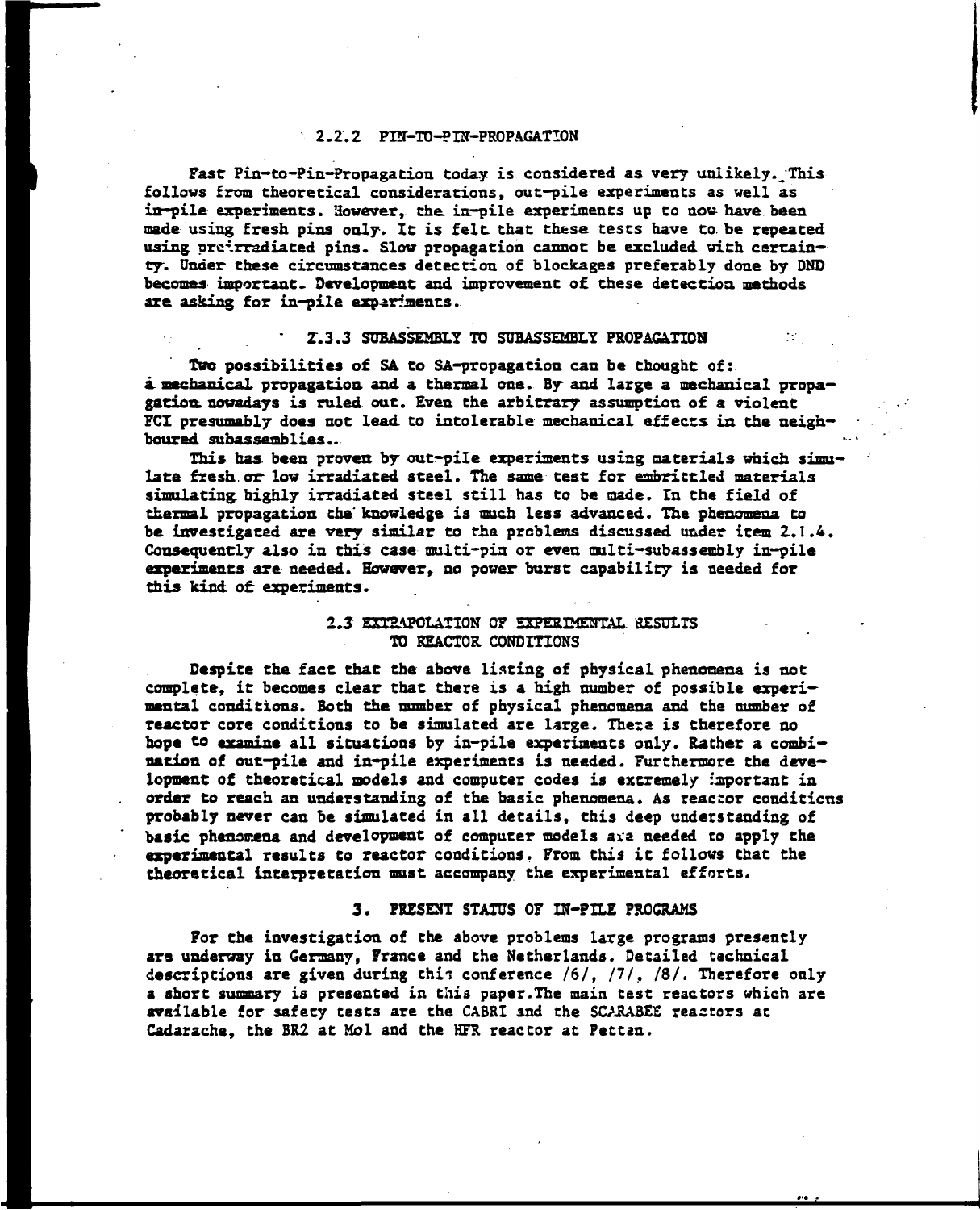#### **2.2.2 PIN-TO-PTN-PROPAGATTON**

**Fast Pin-to-Pin-Propagation today is considered as very uulikely.^This follows from theoretical considerations, out-pile experiments as well as in—pile experiments. However, the. in-pile experiments up to now- have been made using fresh pins only. It is felt that these tests have [to.be](http://to.be) repeated**  using oreirradiated pins. Slow propagation cannot be excluded with certain**ty. Under these circumstances detection of blockages preferably done by DND becomes important» Development and improvement of these detection methods are asking for in-pile experiments.** 

## **2.3.3 SUBASSEMBLY TO SUBASSEMBLY PROPAGATION**

**Two possibilities of SA to SA-propagation can be thought of:**  *k* **mechanical propagation and a thermal one. By and large a mechanical propagation, nowadays is ruled out. Even the arbitrary assumption of a violent FCI presumably does not lead, to intolerable mechanical effects in the neighboured subassemblies...** 

**This has. been proven by out-pile experiments using materials which simulate fresh, or- low irradiated steel. The same test for embrittled materials simulating, highly irradiated steel still has to be made. In the field of thermal propagation the' knowledge is much less advanced. The phenomena to be investigated are very similar to** *the.* **problems discussed under item 2.1.4. Consequently also in this case multi-pis or even multi-subassembly in-pile experiments are needed. However, no power burst capability is needed for this kind, of experiments.** 

## *2.3* **EXTRAPOLATION OF EXPERIMENTAL RESULTS TO REACTOR CONDITIONS**

**Despite the fact that the above listing of physical phenomena is not complete, it becomes clear that there is a high number of possible experimental conditions. Both the number of physical phenomena and the cumber of reactor core conditions to be simulated are large. There is therefore no hope to examine all situations by in-pile experiments only. Rather a combination of out-pile and in-pile experiments is needed. Furthermore the development of theoretical models and computer codes is extremely important in order to reach an understanding of the basic phenomena. As reactor conditions probably never can be simulated in all details, this deep understanding of basic phenomena and development of computer models axa needed to apply the experimental results to reactor conditions. From this it follows that the theoretical interpretation must accompany the experimental efforts.** 

#### **3. PRESENT STATUS OF IN-PILE PROGRAMS**

**For the investigation of the above problems large programs presently are underway in Germany, France and the Netherlands. Detailed technical**  descriptions are given during this conference /6/, /7/, /8/. Therefore only **a short summary is presented in this paper.The main test reactors which are available for safety tests are the CABRI and the SCARABEE reactors at Cadarache, the BR2 at Mol and the HFR reactor at Pettan.**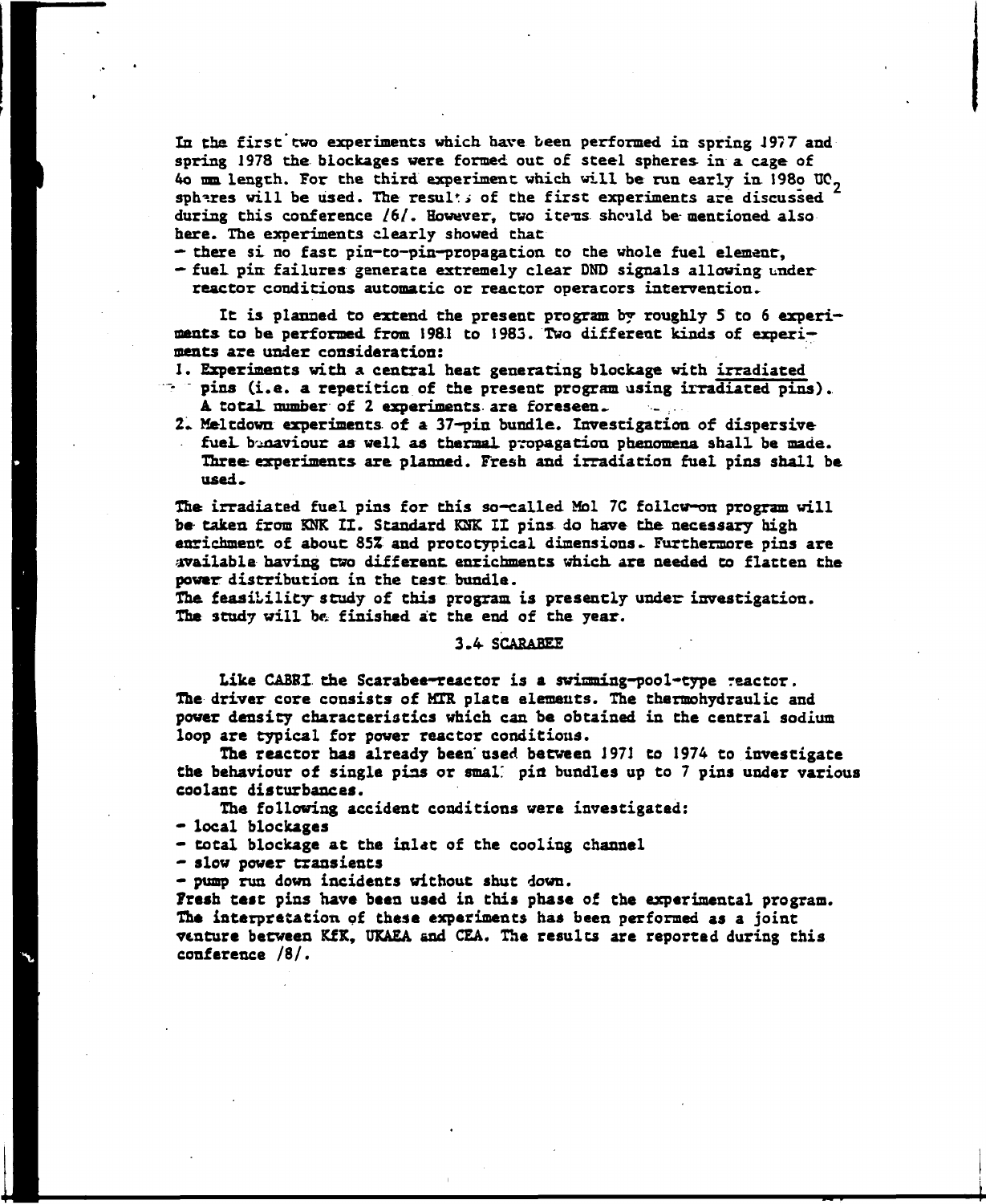**In the first two experiments which have been performed in spring J9?7 and spring 1978 the blockages were formed out of steel spheres in a cage of 4o mm length. For the third experiment which will be run early in 198o U0~ spheres will be used. The resulti of the first experiments are discussed**  during this conference /6/. However, two items should be mentioned also **here. The experiments clearly showed that** 

**— there si no fast pin-to-pin-propagation to the whole fuel element-, — fuel pin failures generate extremely clear DND signals allowing under reactor conditions automatic or reactor operacors intervention.** 

**It is planned to extend the present program by roughly 5 to 6 experiments to be performed, from 1981 to 1985. Two different kinds of experiments are under consideration:** 

- **1. Experiments with a central heat generating blockage with irradiated pins (i.e. a repetition of the present program using irradiated pins).. A total number of 2 experiments are foreseen.. -**
- **2. Meltdown experiments, of a 37-pin bundle. Investigation of dispersive fuel, b'^naviour as well as thermal, propagation phenomena shall be made. Three experiments are planned. Fresh and irradiation fuel pins shall be used»**

The irradiated fuel pins for this so-called Mol 7C follow-on program will **be taken from KNK IX. Standard KSK IX pins do have the necessary high enrichment of about 85Z and prototypical dimensions- Furthermore pins are available having two different enrichments which are needed to flatten the power distribution in the test, bundle.** 

**The feasibility study of this program is presently under investigation. The study will be finished at the end of the year.** 

**3.4 SCABABEE** 

**Like CABRX the Scarabee-reactor is a swimming-pool-type reactor. The driver core consists of MTR plate elements. The thermohydraulic and power density characteristics which can be obtained in the central sodium loop are typical for power reactor conditions.** 

**The reactor has already been used between 1971 to 1974 to investigate Che behaviour of single pins or smal' pia bundles up to 7 pins under various coolant disturbances.** 

**The following accident conditions were investigated:** 

**\* local blockages** 

**— total blockage at the inlet of the cooling channel** 

**— slow power transients** 

**— pump run down incidents without shut down.** 

**Fresh test pins have been used in this phase of the experimental program. The interpretation of these experiments has been performed as a joint venture between KfK, UKAEA and CEA. The results are reported during this conference /8/.**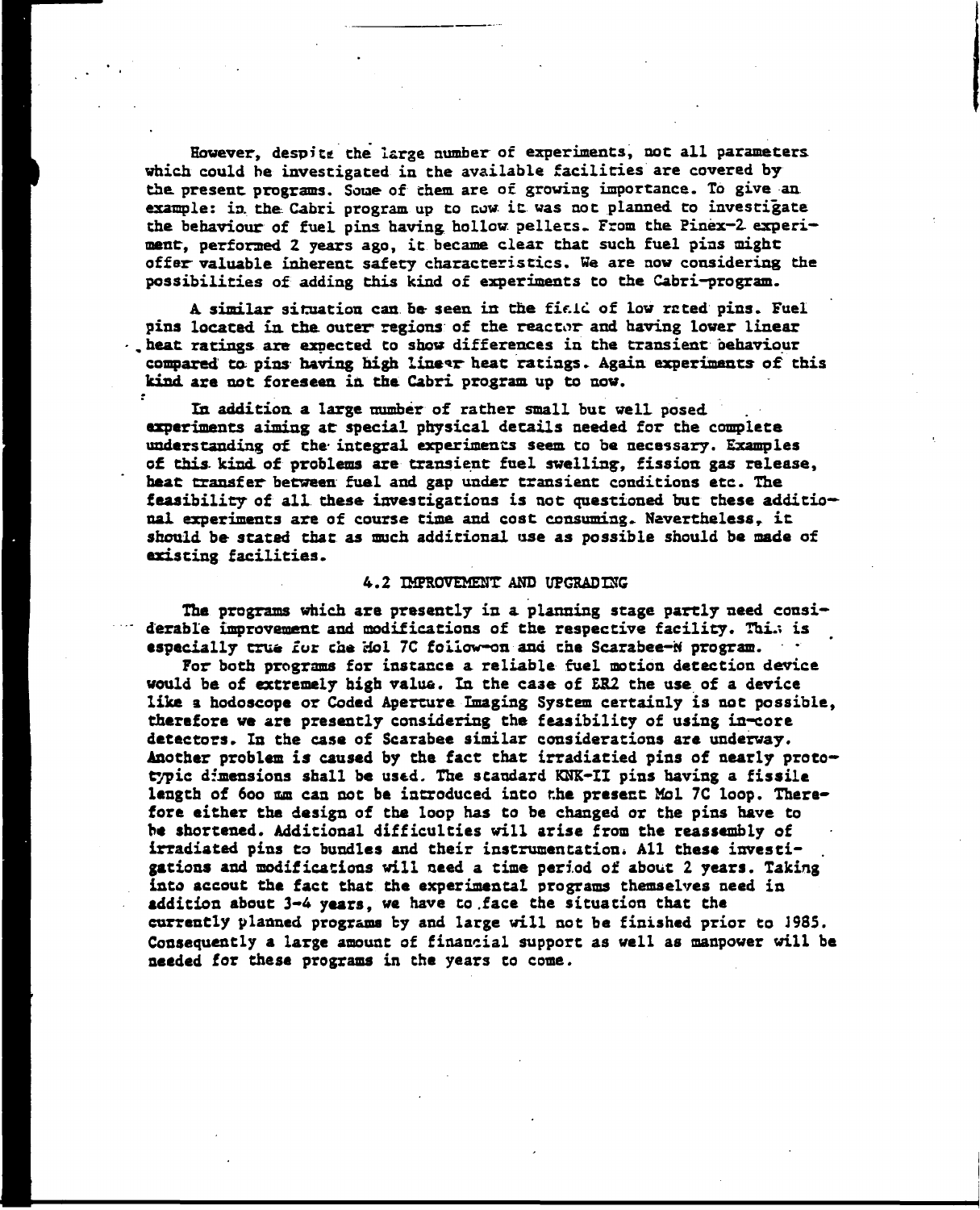**However, despite the large number of experiments, not all parameters which could be investigated in the available facilities are covered by**  the present programs. Some of them are of growing importance. To give an **example: in. the Cabri program up to cow- it was not planned to investigate the behaviour of fuel pins having hollow pellecs. From the Binex-2. experi**ment, performed 2 years ago, it became clear that such fuel pins might **offer- valuable inherent safety characteristics. We are now considering the possibilities of adding this kind of experiments to the Cabri-program.** 

**A, similar situation can be- seen in the field of low re ted pins. Fuel pins located in. the outer regions of the reactor and having lower linear . heat, ratings are expected to show differences in the transient behaviour compared to- pins having high linear heat ratings. Again experiments of this kind are not foreseen in the Cabri program up to now.** 

**In addition a large number of rather small but well posed experiments aiming at special physical details needed for the complete understanding of the- integral experiments seem to be necessary. Examples of this, kind of problems are transient fuel swelling-, fission gas release,**  heat transfer between fuel and gap under transient conditions etc. The **feasibility of all these investigations is not questioned but these additional experiments are of course time and cost consuming» Nevertheless***r* **it should be stated that as much additional use as possible should be made of existing facilities.** 

## **4.2 IMPROVEMENT AND UPGRADING**

**The programs which are presently in a planning stage partly need consi**derable improvement and modifications of the respective facility. Thi.4 is especially true for the Hol 7C foiiow-on and the Scarabee-W program.

**For both programs for instance a reliable fuel motion detection device would be of extremely high value. In the case of ER2 the use of a device like a hodoscope or Coded Aperture Imaging System certainly is not possible, therefore we are presently considering the feasibility of using in-core detectors. In the case of Scarabée similar considerations are underway.**  Another problem is caused by the fact that irradiatied pins of nearly proto**typic dimensions shall be used. The standard KNK-II pins having a fissile length of 600 ma can not be introduced into the present Mol 7C loop. Therefore either the design of the loop has to be changed or the pins have to be shortened. Additional difficulties will arise from the reassembly of**  irradiated pins to bundles and their instrumentation. All these investi**gations and modifications will need a time period of about 2 years. Taking into accout the fact that the experimental programs themselves need in addition about 3-4 years, we have to .face the situation that the currently planned programs by and large will not be finished prior to J985. Consequently a large amount of financial support as well as manpower will be needed for these programs in che years to come.**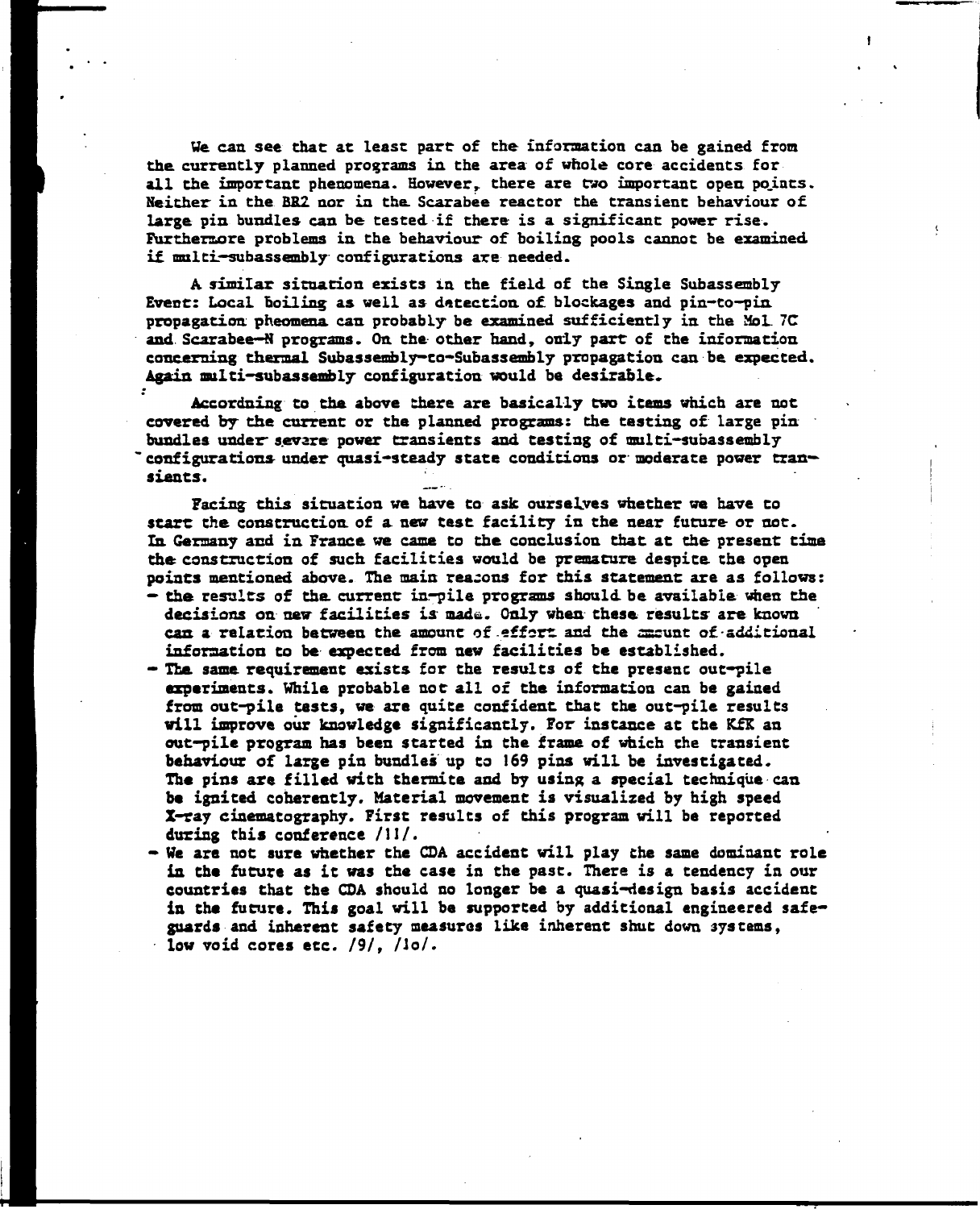**We can see that at least part of the information can be gained from the currently planned programs in the area of whole core accidents for all the important phenomena. However***r* **there are two important open points. Neither in the BR2 nor in the Scarabée reactor the transient behaviour of**  large pin bundles can be tested if there is a significant power rise. **Furthermore problems in the behaviour of boiling pools cannot be examined if multi—subassembly configurations are needed.** 

**A similar situation exists in the field of the Single Subassembly Event: Local boiling as well as detection of blockages and pin-to—pin propagation pheomena can probably be examined sufficiently in the Mol. 7C and Scarabée—N programs. On the other hand, only part of the information concerning thermal Subasseably-co-Subassembly propagation can be expected. Again multi-subassembly configuration would be desirable.** 

**Accordning to the above there are basically two items which are not covered by the current or the planned programs: the testing of large pin bundles under\* sevare power transients and testing of multi-subassembly configurations- under quasi-steady state conditions or moderate power transients.** 

**Facing this situation we have to ask ourselves whether we have to start the construction of a new test facility in the near future or not. In Germany and in France we came to the conclusion that at the present time the construction of such facilities would be premature despite the open points mentioned above. The main reasons for this statement are as follows: - the results of the. current inrpile programs should be available «hen the decisions on new facilities is mad&. Only when these results are known can a relation between the amount of effort and the sssunt of-additional** 

**information to be expected from new facilities be established. - The same requirement exists for the results of the presenc out-pile experiments. While probable not all of the information can be gained from out-pile tests, we are quite confident that the out-pile results will improve our knowledge significantly. For instance at the KfK an out-pile program has been started in Che frame of which the transient behaviour of large pin bundles up to 169 pins will be investigated. The pins are filled with thermite and by using a special technique can be ignited coherently. Material movement is visualized by high speed X-ray cinematography. First results of this program will be reported during this conference /I I/.** 

**- We are not sure whether Che CDA accident will play the same dominant role**  in the future as it was the case in the past. There is a tendency in our **countries that che CDA should no longer be a quasi-design basis accidenc**  in the future. This goal will be supported by additional engineered safe**guards and inherent safety measures like inherent shut down systems,**  low void cores etc. /9/, /lo/.